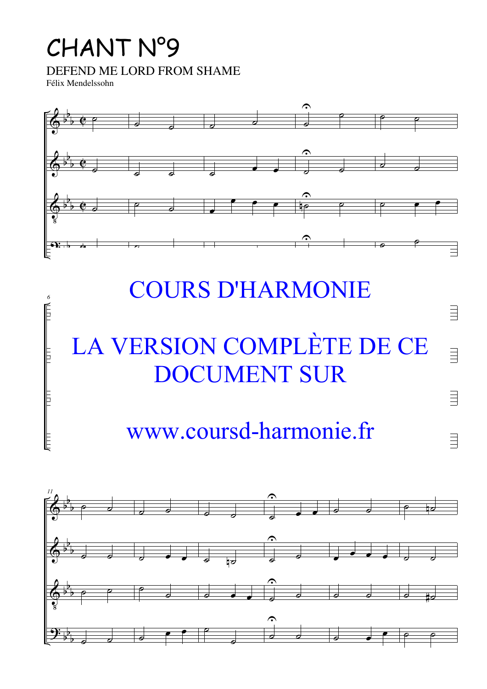## CHANT N°9

DEFEND ME LORD FROM SHAME

Félix Mendelssohn

&

*6*



## COURS D'HARMONIE

 $\equiv$ 

 $\equiv$ 

 $\equiv$ 

 $\equiv$ 

## $\overline{L}$ <sup> $\overline{L}$ </sup>  $\begin{array}{c}\n\bigcap A \cap \text{I} \cap \text{I} \cap \text{I} \cap \text{I} \cap \text{I} \cap \text{I}\n\end{array}$  $\sqrt{ }$ ZU CONIE LL I L'EL CL LA VERSION COMPLÈTE DE CE DOCUMENT SUR

## $\overline{U}$ ˙ <u>sa-narmc</u> ˙ www.coursd-harmonie.fr